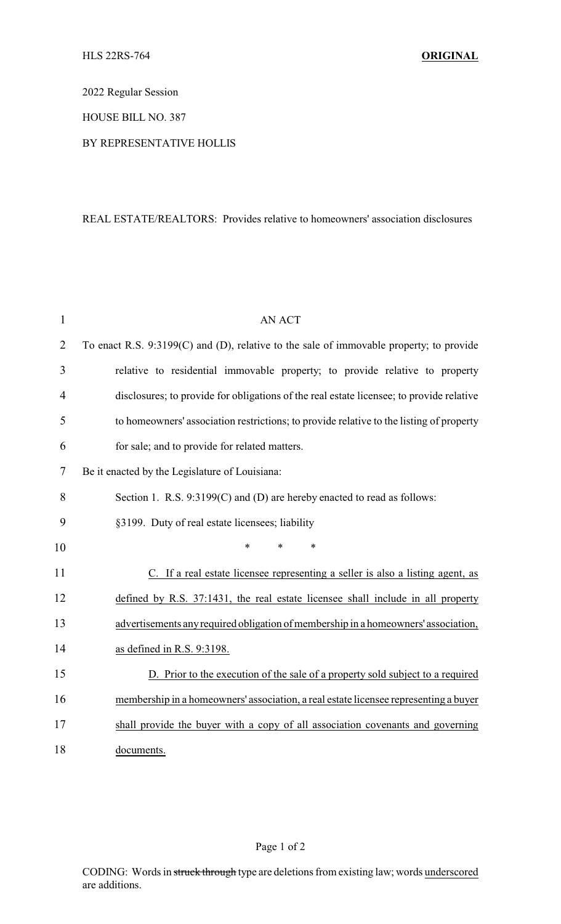2022 Regular Session

HOUSE BILL NO. 387

## BY REPRESENTATIVE HOLLIS

## REAL ESTATE/REALTORS: Provides relative to homeowners' association disclosures

| $\mathbf{1}$   | <b>AN ACT</b>                                                                            |  |
|----------------|------------------------------------------------------------------------------------------|--|
| $\overline{2}$ | To enact R.S. 9:3199(C) and (D), relative to the sale of immovable property; to provide  |  |
| 3              | relative to residential immovable property; to provide relative to property              |  |
| 4              | disclosures; to provide for obligations of the real estate licensee; to provide relative |  |
| 5              | to homeowners' association restrictions; to provide relative to the listing of property  |  |
| 6              | for sale; and to provide for related matters.                                            |  |
| 7              | Be it enacted by the Legislature of Louisiana:                                           |  |
| 8              | Section 1. R.S. 9:3199(C) and (D) are hereby enacted to read as follows:                 |  |
| 9              | §3199. Duty of real estate licensees; liability                                          |  |
| 10             | *<br>$\ast$<br>*                                                                         |  |
| 11             | C. If a real estate licensee representing a seller is also a listing agent, as           |  |
| 12             | defined by R.S. 37:1431, the real estate licensee shall include in all property          |  |
| 13             | advertisements any required obligation of membership in a homeowners' association,       |  |
| 14             | as defined in R.S. 9:3198.                                                               |  |
| 15             | D. Prior to the execution of the sale of a property sold subject to a required           |  |
| 16             | membership in a homeowners' association, a real estate licensee representing a buyer     |  |
| 17             | shall provide the buyer with a copy of all association covenants and governing           |  |
| 18             | documents.                                                                               |  |